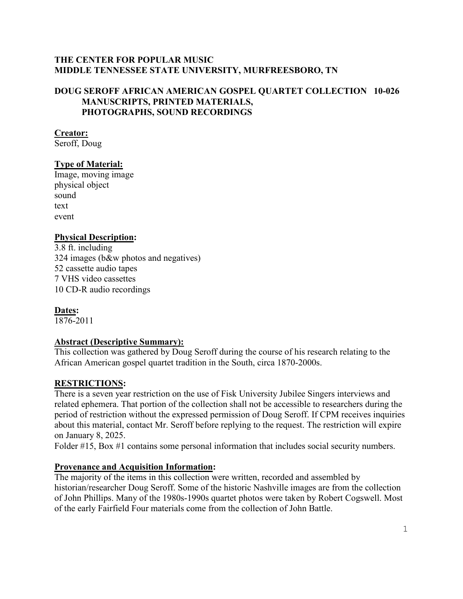### **THE CENTER FOR POPULAR MUSIC MIDDLE TENNESSEE STATE UNIVERSITY, MURFREESBORO, TN**

### **DOUG SEROFF AFRICAN AMERICAN GOSPEL QUARTET COLLECTION 10-026 MANUSCRIPTS, PRINTED MATERIALS, PHOTOGRAPHS, SOUND RECORDINGS**

### **Creator:**

Seroff, Doug

### **Type of Material:**

Image, moving image physical object sound text event

#### **Physical Description:**

3.8 ft. including 324 images (b&w photos and negatives) 52 cassette audio tapes 7 VHS video cassettes 10 CD-R audio recordings

### **Dates:**

1876-2011

### **Abstract (Descriptive Summary):**

This collection was gathered by Doug Seroff during the course of his research relating to the African American gospel quartet tradition in the South, circa 1870-2000s.

### **RESTRICTIONS:**

There is a seven year restriction on the use of Fisk University Jubilee Singers interviews and related ephemera. That portion of the collection shall not be accessible to researchers during the period of restriction without the expressed permission of Doug Seroff. If CPM receives inquiries about this material, contact Mr. Seroff before replying to the request. The restriction will expire on January 8, 2025.

Folder #15, Box #1 contains some personal information that includes social security numbers.

### **Provenance and Acquisition Information:**

The majority of the items in this collection were written, recorded and assembled by historian/researcher Doug Seroff. Some of the historic Nashville images are from the collection of John Phillips. Many of the 1980s-1990s quartet photos were taken by Robert Cogswell. Most of the early Fairfield Four materials come from the collection of John Battle.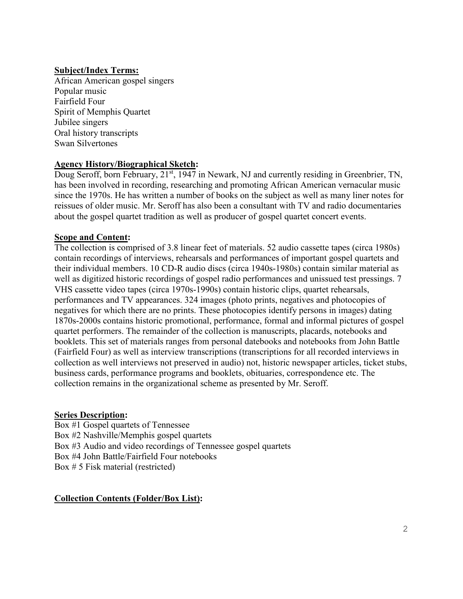### **Subject/Index Terms:**

African American gospel singers Popular music Fairfield Four Spirit of Memphis Quartet Jubilee singers Oral history transcripts Swan Silvertones

#### **Agency History/Biographical Sketch:**

Doug Seroff, born February, 21<sup>st</sup>, 1947 in Newark, NJ and currently residing in Greenbrier, TN, has been involved in recording, researching and promoting African American vernacular music since the 1970s. He has written a number of books on the subject as well as many liner notes for reissues of older music. Mr. Seroff has also been a consultant with TV and radio documentaries about the gospel quartet tradition as well as producer of gospel quartet concert events.

#### **Scope and Content:**

The collection is comprised of 3.8 linear feet of materials. 52 audio cassette tapes (circa 1980s) contain recordings of interviews, rehearsals and performances of important gospel quartets and their individual members. 10 CD-R audio discs (circa 1940s-1980s) contain similar material as well as digitized historic recordings of gospel radio performances and unissued test pressings. 7 VHS cassette video tapes (circa 1970s-1990s) contain historic clips, quartet rehearsals, performances and TV appearances. 324 images (photo prints, negatives and photocopies of negatives for which there are no prints. These photocopies identify persons in images) dating 1870s-2000s contains historic promotional, performance, formal and informal pictures of gospel quartet performers. The remainder of the collection is manuscripts, placards, notebooks and booklets. This set of materials ranges from personal datebooks and notebooks from John Battle (Fairfield Four) as well as interview transcriptions (transcriptions for all recorded interviews in collection as well interviews not preserved in audio) not, historic newspaper articles, ticket stubs, business cards, performance programs and booklets, obituaries, correspondence etc. The collection remains in the organizational scheme as presented by Mr. Seroff.

#### **Series Description:**

Box #1 Gospel quartets of Tennessee Box #2 Nashville/Memphis gospel quartets Box #3 Audio and video recordings of Tennessee gospel quartets Box #4 John Battle/Fairfield Four notebooks Box # 5 Fisk material (restricted)

#### **Collection Contents (Folder/Box List):**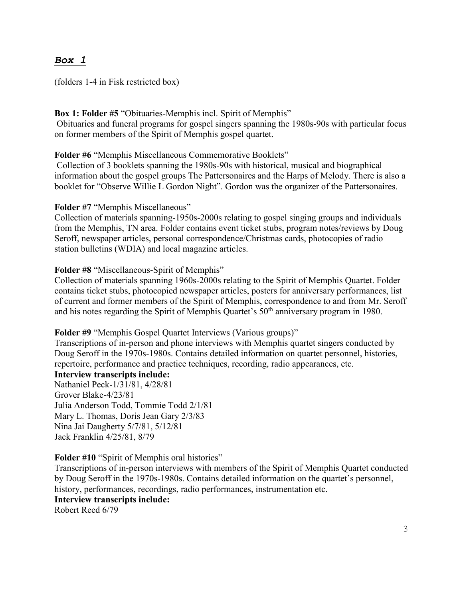## *Box 1*

(folders 1-4 in Fisk restricted box)

#### **Box 1: Folder #5** "Obituaries-Memphis incl. Spirit of Memphis"

Obituaries and funeral programs for gospel singers spanning the 1980s-90s with particular focus on former members of the Spirit of Memphis gospel quartet.

**Folder #6** "Memphis Miscellaneous Commemorative Booklets"

Collection of 3 booklets spanning the 1980s-90s with historical, musical and biographical information about the gospel groups The Pattersonaires and the Harps of Melody. There is also a booklet for "Observe Willie L Gordon Night". Gordon was the organizer of the Pattersonaires.

**Folder #7** "Memphis Miscellaneous"

Collection of materials spanning-1950s-2000s relating to gospel singing groups and individuals from the Memphis, TN area. Folder contains event ticket stubs, program notes/reviews by Doug Seroff, newspaper articles, personal correspondence/Christmas cards, photocopies of radio station bulletins (WDIA) and local magazine articles.

**Folder #8** "Miscellaneous-Spirit of Memphis"

Collection of materials spanning 1960s-2000s relating to the Spirit of Memphis Quartet. Folder contains ticket stubs, photocopied newspaper articles, posters for anniversary performances, list of current and former members of the Spirit of Memphis, correspondence to and from Mr. Seroff and his notes regarding the Spirit of Memphis Quartet's 50<sup>th</sup> anniversary program in 1980.

#### **Folder #9** "Memphis Gospel Quartet Interviews (Various groups)"

Transcriptions of in-person and phone interviews with Memphis quartet singers conducted by Doug Seroff in the 1970s-1980s. Contains detailed information on quartet personnel, histories, repertoire, performance and practice techniques, recording, radio appearances, etc.

**Interview transcripts include:** Nathaniel Peck-1/31/81, 4/28/81 Grover Blake-4/23/81 Julia Anderson Todd, Tommie Todd 2/1/81 Mary L. Thomas, Doris Jean Gary 2/3/83 Nina Jai Daugherty 5/7/81, 5/12/81 Jack Franklin 4/25/81, 8/79

#### **Folder #10** "Spirit of Memphis oral histories"

Transcriptions of in-person interviews with members of the Spirit of Memphis Quartet conducted by Doug Seroff in the 1970s-1980s. Contains detailed information on the quartet's personnel, history, performances, recordings, radio performances, instrumentation etc. **Interview transcripts include:**

Robert Reed 6/79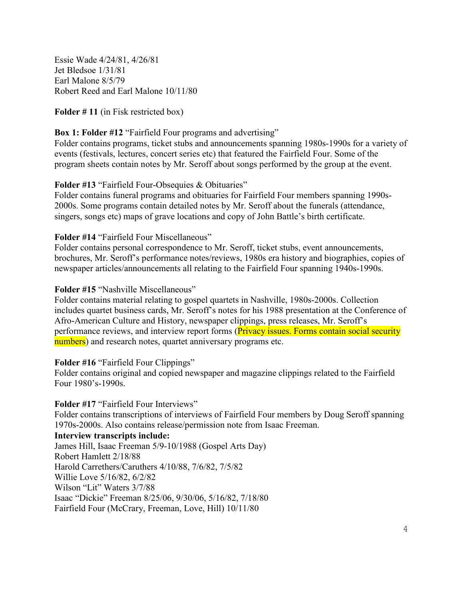Essie Wade 4/24/81, 4/26/81 Jet Bledsoe 1/31/81 Earl Malone 8/5/79 Robert Reed and Earl Malone 10/11/80

**Folder # 11** (in Fisk restricted box)

### **Box 1: Folder #12** "Fairfield Four programs and advertising"

Folder contains programs, ticket stubs and announcements spanning 1980s-1990s for a variety of events (festivals, lectures, concert series etc) that featured the Fairfield Four. Some of the program sheets contain notes by Mr. Seroff about songs performed by the group at the event.

#### **Folder #13** "Fairfield Four-Obsequies & Obituaries"

Folder contains funeral programs and obituaries for Fairfield Four members spanning 1990s-2000s. Some programs contain detailed notes by Mr. Seroff about the funerals (attendance, singers, songs etc) maps of grave locations and copy of John Battle's birth certificate.

#### **Folder #14** "Fairfield Four Miscellaneous"

Folder contains personal correspondence to Mr. Seroff, ticket stubs, event announcements, brochures, Mr. Seroff's performance notes/reviews, 1980s era history and biographies, copies of newspaper articles/announcements all relating to the Fairfield Four spanning 1940s-1990s.

#### **Folder #15** "Nashville Miscellaneous"

Folder contains material relating to gospel quartets in Nashville, 1980s-2000s. Collection includes quartet business cards, Mr. Seroff's notes for his 1988 presentation at the Conference of Afro-American Culture and History, newspaper clippings, press releases, Mr. Seroff's performance reviews, and interview report forms (Privacy issues. Forms contain social security numbers) and research notes, quartet anniversary programs etc.

#### **Folder #16** "Fairfield Four Clippings"

Folder contains original and copied newspaper and magazine clippings related to the Fairfield Four 1980's-1990s.

#### **Folder #17** "Fairfield Four Interviews"

Folder contains transcriptions of interviews of Fairfield Four members by Doug Seroff spanning 1970s-2000s. Also contains release/permission note from Isaac Freeman.

**Interview transcripts include:**

James Hill, Isaac Freeman 5/9-10/1988 (Gospel Arts Day) Robert Hamlett 2/18/88 Harold Carrethers/Caruthers 4/10/88, 7/6/82, 7/5/82 Willie Love 5/16/82, 6/2/82 Wilson "Lit" Waters 3/7/88 Isaac "Dickie" Freeman 8/25/06, 9/30/06, 5/16/82, 7/18/80 Fairfield Four (McCrary, Freeman, Love, Hill) 10/11/80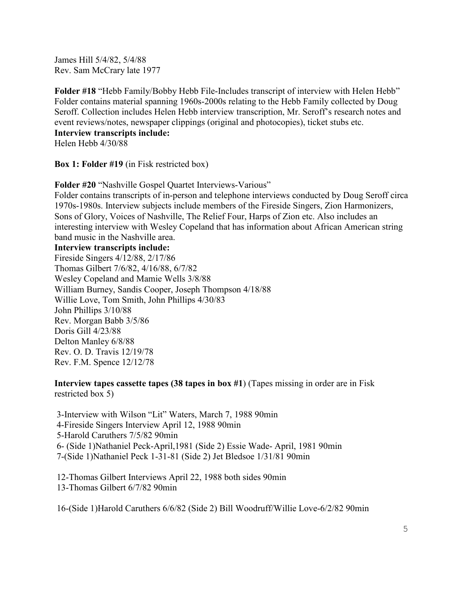James Hill 5/4/82, 5/4/88 Rev. Sam McCrary late 1977

**Folder #18** "Hebb Family/Bobby Hebb File-Includes transcript of interview with Helen Hebb" Folder contains material spanning 1960s-2000s relating to the Hebb Family collected by Doug Seroff. Collection includes Helen Hebb interview transcription, Mr. Seroff's research notes and event reviews/notes, newspaper clippings (original and photocopies), ticket stubs etc.

# **Interview transcripts include:**

Helen Hebb 4/30/88

**Box 1: Folder #19** (in Fisk restricted box)

**Folder #20** "Nashville Gospel Quartet Interviews-Various"

Folder contains transcripts of in-person and telephone interviews conducted by Doug Seroff circa 1970s-1980s. Interview subjects include members of the Fireside Singers, Zion Harmonizers, Sons of Glory, Voices of Nashville, The Relief Four, Harps of Zion etc. Also includes an interesting interview with Wesley Copeland that has information about African American string band music in the Nashville area.

#### **Interview transcripts include:**

Fireside Singers 4/12/88, 2/17/86 Thomas Gilbert 7/6/82, 4/16/88, 6/7/82 Wesley Copeland and Mamie Wells 3/8/88 William Burney, Sandis Cooper, Joseph Thompson 4/18/88 Willie Love, Tom Smith, John Phillips 4/30/83 John Phillips 3/10/88 Rev. Morgan Babb 3/5/86 Doris Gill 4/23/88 Delton Manley 6/8/88 Rev. O. D. Travis 12/19/78 Rev. F.M. Spence 12/12/78

**Interview tapes cassette tapes (38 tapes in box #1**) (Tapes missing in order are in Fisk restricted box 5)

3-Interview with Wilson "Lit" Waters, March 7, 1988 90min 4-Fireside Singers Interview April 12, 1988 90min 5-Harold Caruthers 7/5/82 90min 6- (Side 1)Nathaniel Peck-April,1981 (Side 2) Essie Wade- April, 1981 90min 7-(Side 1)Nathaniel Peck 1-31-81 (Side 2) Jet Bledsoe 1/31/81 90min

12-Thomas Gilbert Interviews April 22, 1988 both sides 90min 13-Thomas Gilbert 6/7/82 90min

16-(Side 1)Harold Caruthers 6/6/82 (Side 2) Bill Woodruff/Willie Love-6/2/82 90min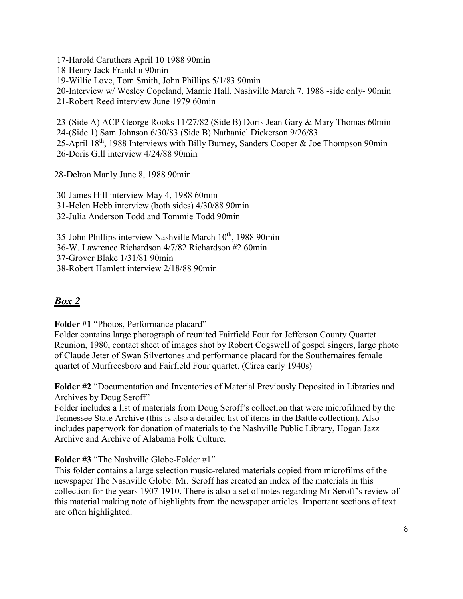17-Harold Caruthers April 10 1988 90min 18-Henry Jack Franklin 90min 19-Willie Love, Tom Smith, John Phillips 5/1/83 90min 20-Interview w/ Wesley Copeland, Mamie Hall, Nashville March 7, 1988 -side only- 90min 21-Robert Reed interview June 1979 60min

23-(Side A) ACP George Rooks 11/27/82 (Side B) Doris Jean Gary & Mary Thomas 60min 24-(Side 1) Sam Johnson 6/30/83 (Side B) Nathaniel Dickerson 9/26/83 25-April 18th, 1988 Interviews with Billy Burney, Sanders Cooper & Joe Thompson 90min 26-Doris Gill interview 4/24/88 90min

28-Delton Manly June 8, 1988 90min

30-James Hill interview May 4, 1988 60min 31-Helen Hebb interview (both sides) 4/30/88 90min 32-Julia Anderson Todd and Tommie Todd 90min

35-John Phillips interview Nashville March 10<sup>th</sup>, 1988 90min 36-W. Lawrence Richardson 4/7/82 Richardson #2 60min 37-Grover Blake 1/31/81 90min 38-Robert Hamlett interview 2/18/88 90min

# *Box 2*

**Folder #1** "Photos, Performance placard"

Folder contains large photograph of reunited Fairfield Four for Jefferson County Quartet Reunion, 1980, contact sheet of images shot by Robert Cogswell of gospel singers, large photo of Claude Jeter of Swan Silvertones and performance placard for the Southernaires female quartet of Murfreesboro and Fairfield Four quartet. (Circa early 1940s)

**Folder #2** "Documentation and Inventories of Material Previously Deposited in Libraries and Archives by Doug Seroff"

Folder includes a list of materials from Doug Seroff's collection that were microfilmed by the Tennessee State Archive (this is also a detailed list of items in the Battle collection). Also includes paperwork for donation of materials to the Nashville Public Library, Hogan Jazz Archive and Archive of Alabama Folk Culture.

**Folder #3** "The Nashville Globe-Folder #1"

This folder contains a large selection music-related materials copied from microfilms of the newspaper The Nashville Globe. Mr. Seroff has created an index of the materials in this collection for the years 1907-1910. There is also a set of notes regarding Mr Seroff's review of this material making note of highlights from the newspaper articles. Important sections of text are often highlighted.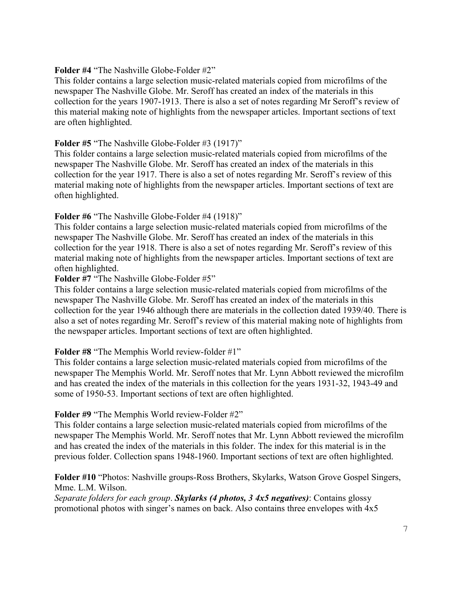#### **Folder #4** "The Nashville Globe-Folder #2"

This folder contains a large selection music-related materials copied from microfilms of the newspaper The Nashville Globe. Mr. Seroff has created an index of the materials in this collection for the years 1907-1913. There is also a set of notes regarding Mr Seroff's review of this material making note of highlights from the newspaper articles. Important sections of text are often highlighted.

#### **Folder #5** "The Nashville Globe-Folder #3 (1917)"

This folder contains a large selection music-related materials copied from microfilms of the newspaper The Nashville Globe. Mr. Seroff has created an index of the materials in this collection for the year 1917. There is also a set of notes regarding Mr. Seroff's review of this material making note of highlights from the newspaper articles. Important sections of text are often highlighted.

#### **Folder #6** "The Nashville Globe-Folder #4 (1918)"

This folder contains a large selection music-related materials copied from microfilms of the newspaper The Nashville Globe. Mr. Seroff has created an index of the materials in this collection for the year 1918. There is also a set of notes regarding Mr. Seroff's review of this material making note of highlights from the newspaper articles. Important sections of text are often highlighted.

#### **Folder #7** "The Nashville Globe-Folder #5"

This folder contains a large selection music-related materials copied from microfilms of the newspaper The Nashville Globe. Mr. Seroff has created an index of the materials in this collection for the year 1946 although there are materials in the collection dated 1939/40. There is also a set of notes regarding Mr. Seroff's review of this material making note of highlights from the newspaper articles. Important sections of text are often highlighted.

#### **Folder #8** "The Memphis World review-folder #1"

This folder contains a large selection music-related materials copied from microfilms of the newspaper The Memphis World. Mr. Seroff notes that Mr. Lynn Abbott reviewed the microfilm and has created the index of the materials in this collection for the years 1931-32, 1943-49 and some of 1950-53. Important sections of text are often highlighted.

#### **Folder #9** "The Memphis World review-Folder #2"

This folder contains a large selection music-related materials copied from microfilms of the newspaper The Memphis World. Mr. Seroff notes that Mr. Lynn Abbott reviewed the microfilm and has created the index of the materials in this folder. The index for this material is in the previous folder. Collection spans 1948-1960. Important sections of text are often highlighted.

#### **Folder #10** "Photos: Nashville groups-Ross Brothers, Skylarks, Watson Grove Gospel Singers, Mme. L.M. Wilson.

*Separate folders for each group*. *Skylarks (4 photos, 3 4x5 negatives)*: Contains glossy promotional photos with singer's names on back. Also contains three envelopes with 4x5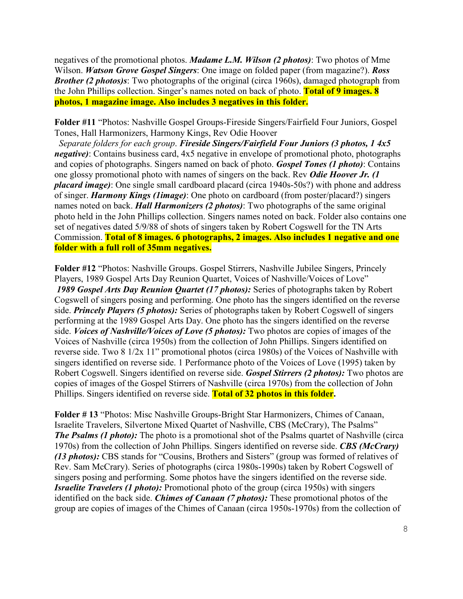negatives of the promotional photos. *Madame L.M. Wilson (2 photos)*: Two photos of Mme Wilson. *Watson Grove Gospel Singers*: One image on folded paper (from magazine?). *Ross Brother (2 photos)s*: Two photographs of the original (circa 1960s), damaged photograph from the John Phillips collection. Singer's names noted on back of photo. **Total of 9 images. 8 photos, 1 magazine image. Also includes 3 negatives in this folder.**

**Folder #11** "Photos: Nashville Gospel Groups-Fireside Singers/Fairfield Four Juniors, Gospel Tones, Hall Harmonizers, Harmony Kings, Rev Odie Hoover

 *Separate folders for each group*. *Fireside Singers/Fairfield Four Juniors (3 photos, 1 4x5 negative*): Contains business card, 4x5 negative in envelope of promotional photo, photographs and copies of photographs. Singers named on back of photo. *Gospel Tones (1 photo)*: Contains one glossy promotional photo with names of singers on the back. Rev *Odie Hoover Jr. (1 placard image)*: One single small cardboard placard (circa 1940s-50s?) with phone and address of singer. *Harmony Kings (1image)*: One photo on cardboard (from poster/placard?) singers names noted on back. *Hall Harmonizers (2 photos)*: Two photographs of the same original photo held in the John Phillips collection. Singers names noted on back. Folder also contains one set of negatives dated 5/9/88 of shots of singers taken by Robert Cogswell for the TN Arts Commission. **Total of 8 images. 6 photographs, 2 images. Also includes 1 negative and one folder with a full roll of 35mm negatives.**

**Folder #12** "Photos: Nashville Groups. Gospel Stirrers, Nashville Jubilee Singers, Princely Players, 1989 Gospel Arts Day Reunion Quartet, Voices of Nashville/Voices of Love" *1989 Gospel Arts Day Reunion Quartet (17 photos):* Series of photographs taken by Robert Cogswell of singers posing and performing. One photo has the singers identified on the reverse side. *Princely Players (5 photos):* Series of photographs taken by Robert Cogswell of singers performing at the 1989 Gospel Arts Day. One photo has the singers identified on the reverse side. *Voices of Nashville/Voices of Love (5 photos):* Two photos are copies of images of the Voices of Nashville (circa 1950s) from the collection of John Phillips. Singers identified on reverse side. Two 8 1/2x 11" promotional photos (circa 1980s) of the Voices of Nashville with singers identified on reverse side. 1 Performance photo of the Voices of Love (1995) taken by Robert Cogswell. Singers identified on reverse side. *Gospel Stirrers (2 photos):* Two photos are copies of images of the Gospel Stirrers of Nashville (circa 1970s) from the collection of John Phillips. Singers identified on reverse side. **Total of 32 photos in this folder.**

**Folder # 13** "Photos: Misc Nashville Groups-Bright Star Harmonizers, Chimes of Canaan, Israelite Travelers, Silvertone Mixed Quartet of Nashville, CBS (McCrary), The Psalms" *The Psalms (1 photo):* The photo is a promotional shot of the Psalms quartet of Nashville (circa 1970s) from the collection of John Phillips. Singers identified on reverse side. *CBS (McCrary) (13 photos):* CBS stands for "Cousins, Brothers and Sisters" (group was formed of relatives of Rev. Sam McCrary). Series of photographs (circa 1980s-1990s) taken by Robert Cogswell of singers posing and performing. Some photos have the singers identified on the reverse side. *Israelite Travelers (1 photo):* Promotional photo of the group (circa 1950s) with singers identified on the back side. *Chimes of Canaan (7 photos):* These promotional photos of the group are copies of images of the Chimes of Canaan (circa 1950s-1970s) from the collection of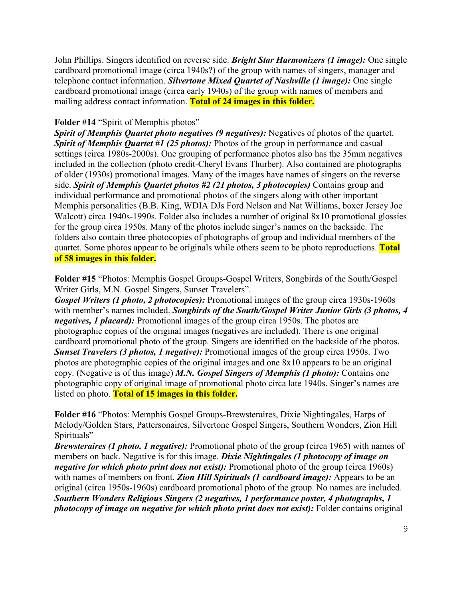John Phillips. Singers identified on reverse side. *Bright Star Harmonizers (1 image):* One single cardboard promotional image (circa 1940s?) of the group with names of singers, manager and telephone contact information. *Silvertone Mixed Quartet of Nashville (1 image):* One single cardboard promotional image (circa early 1940s) of the group with names of members and mailing address contact information. **Total of 24 images in this folder.**

#### **Folder #14** "Spirit of Memphis photos"

*Spirit of Memphis Quartet photo negatives (9 negatives):* Negatives of photos of the quartet. *Spirit of Memphis Quartet #1 (25 photos):* Photos of the group in performance and casual settings (circa 1980s-2000s). One grouping of performance photos also has the 35mm negatives included in the collection (photo credit-Cheryl Evans Thurber). Also contained are photographs of older (1930s) promotional images. Many of the images have names of singers on the reverse side. *Spirit of Memphis Quartet photos #2 (21 photos, 3 photocopies)* Contains group and individual performance and promotional photos of the singers along with other important Memphis personalities (B.B. King, WDIA DJs Ford Nelson and Nat Williams, boxer Jersey Joe Walcott) circa 1940s-1990s. Folder also includes a number of original 8x10 promotional glossies for the group circa 1950s. Many of the photos include singer's names on the backside. The folders also contain three photocopies of photographs of group and individual members of the quartet. Some photos appear to be originals while others seem to be photo reproductions. **Total of 58 images in this folder.**

**Folder #15** "Photos: Memphis Gospel Groups-Gospel Writers, Songbirds of the South/Gospel Writer Girls, M.N. Gospel Singers, Sunset Travelers".

*Gospel Writers (1 photo, 2 photocopies):* Promotional images of the group circa 1930s-1960s with member's names included. *Songbirds of the South/Gospel Writer Junior Girls (3 photos, 4 negatives, 1 placard):* Promotional images of the group circa 1950s. The photos are photographic copies of the original images (negatives are included). There is one original cardboard promotional photo of the group. Singers are identified on the backside of the photos. *Sunset Travelers (3 photos, 1 negative):* Promotional images of the group circa 1950s. Two photos are photographic copies of the original images and one 8x10 appears to be an original copy. (Negative is of this image) *M.N. Gospel Singers of Memphis (1 photo):* Contains one photographic copy of original image of promotional photo circa late 1940s. Singer's names are listed on photo. **Total of 15 images in this folder.**

**Folder #16** "Photos: Memphis Gospel Groups-Brewsteraires, Dixie Nightingales, Harps of Melody/Golden Stars, Pattersonaires, Silvertone Gospel Singers, Southern Wonders, Zion Hill Spirituals"

*Brewsteraires (1 photo, 1 negative):* Promotional photo of the group (circa 1965) with names of members on back. Negative is for this image. *Dixie Nightingales (1 photocopy of image on negative for which photo print does not exist):* Promotional photo of the group (circa 1960s) with names of members on front. *Zion Hill Spirituals (1 cardboard image):* Appears to be an original (circa 1950s-1960s) cardboard promotional photo of the group. No names are included. *Southern Wonders Religious Singers (2 negatives, 1 performance poster, 4 photographs, 1 photocopy of image on negative for which photo print does not exist):* Folder contains original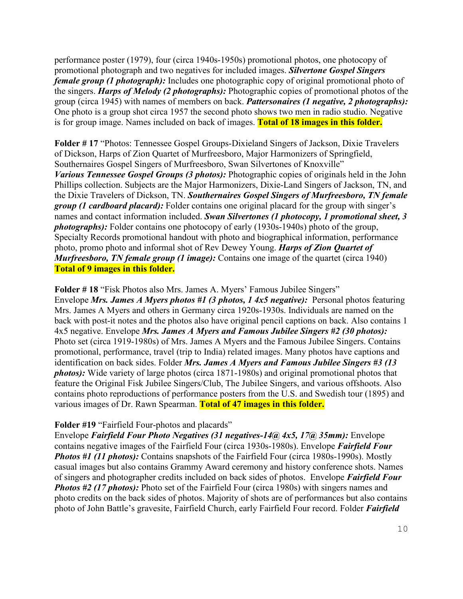performance poster (1979), four (circa 1940s-1950s) promotional photos, one photocopy of promotional photograph and two negatives for included images. *Silvertone Gospel Singers female group (1 photograph)*: Includes one photographic copy of original promotional photo of the singers. *Harps of Melody (2 photographs):* Photographic copies of promotional photos of the group (circa 1945) with names of members on back. *Pattersonaires (1 negative, 2 photographs):* One photo is a group shot circa 1957 the second photo shows two men in radio studio. Negative is for group image. Names included on back of images. **Total of 18 images in this folder.**

**Folder # 17** "Photos: Tennessee Gospel Groups-Dixieland Singers of Jackson, Dixie Travelers of Dickson, Harps of Zion Quartet of Murfreesboro, Major Harmonizers of Springfield, Southernaires Gospel Singers of Murfreesboro, Swan Silvertones of Knoxville" *Various Tennessee Gospel Groups (3 photos):* Photographic copies of originals held in the John Phillips collection. Subjects are the Major Harmonizers, Dixie-Land Singers of Jackson, TN, and the Dixie Travelers of Dickson, TN. *Southernaires Gospel Singers of Murfreesboro, TN female group (1 cardboard placard):* Folder contains one original placard for the group with singer's names and contact information included. *Swan Silvertones (1 photocopy, 1 promotional sheet, 3 photographs):* Folder contains one photocopy of early (1930s-1940s) photo of the group, Specialty Records promotional handout with photo and biographical information, performance photo, promo photo and informal shot of Rev Dewey Young. *Harps of Zion Quartet of Murfreesboro, TN female group (1 image):* Contains one image of the quartet (circa 1940) **Total of 9 images in this folder.**

**Folder # 18** "Fisk Photos also Mrs. James A. Myers' Famous Jubilee Singers" Envelope *Mrs. James A Myers photos #1 (3 photos, 1 4x5 negative):* Personal photos featuring Mrs. James A Myers and others in Germany circa 1920s-1930s. Individuals are named on the back with post-it notes and the photos also have original pencil captions on back. Also contains 1 4x5 negative. Envelope *Mrs. James A Myers and Famous Jubilee Singers #2 (30 photos):* Photo set (circa 1919-1980s) of Mrs. James A Myers and the Famous Jubilee Singers. Contains promotional, performance, travel (trip to India) related images. Many photos have captions and identification on back sides. Folder *Mrs. James A Myers and Famous Jubilee Singers #3 (13 photos):* Wide variety of large photos (circa 1871-1980s) and original promotional photos that feature the Original Fisk Jubilee Singers/Club, The Jubilee Singers, and various offshoots. Also contains photo reproductions of performance posters from the U.S. and Swedish tour (1895) and various images of Dr. Rawn Spearman. **Total of 47 images in this folder.**

#### **Folder #19** "Fairfield Four-photos and placards"

Envelope *Fairfield Four Photo Negatives (31 negatives-14@ 4x5, 17@ 35mm):* Envelope contains negative images of the Fairfield Four (circa 1930s-1980s). Envelope *Fairfield Four Photos #1 (11 photos):* Contains snapshots of the Fairfield Four (circa 1980s-1990s). Mostly casual images but also contains Grammy Award ceremony and history conference shots. Names of singers and photographer credits included on back sides of photos. Envelope *Fairfield Four Photos* #2 (17 *photos*): Photo set of the Fairfield Four (circa 1980s) with singers names and photo credits on the back sides of photos. Majority of shots are of performances but also contains photo of John Battle's gravesite, Fairfield Church, early Fairfield Four record. Folder *Fairfield*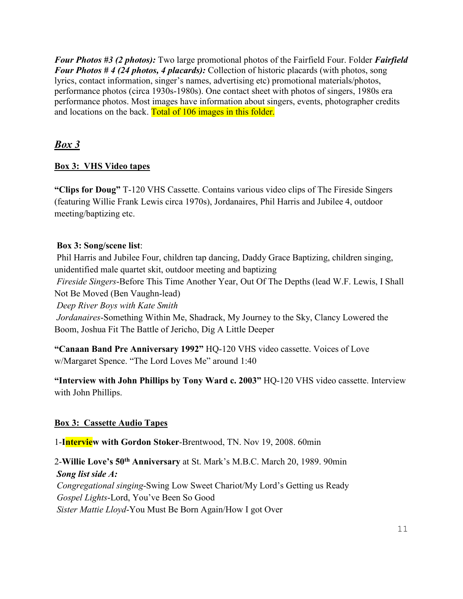*Four Photos #3 (2 photos):* Two large promotional photos of the Fairfield Four. Folder *Fairfield Four Photos # 4 (24 photos, 4 placards):* Collection of historic placards (with photos, song lyrics, contact information, singer's names, advertising etc) promotional materials/photos, performance photos (circa 1930s-1980s). One contact sheet with photos of singers, 1980s era performance photos. Most images have information about singers, events, photographer credits and locations on the back. Total of 106 images in this folder.

# *Box 3*

# **Box 3: VHS Video tapes**

**"Clips for Doug"** T-120 VHS Cassette. Contains various video clips of The Fireside Singers (featuring Willie Frank Lewis circa 1970s), Jordanaires, Phil Harris and Jubilee 4, outdoor meeting/baptizing etc.

# **Box 3: Song/scene list**:

Phil Harris and Jubilee Four, children tap dancing, Daddy Grace Baptizing, children singing, unidentified male quartet skit, outdoor meeting and baptizing

*Fireside Singers*-Before This Time Another Year, Out Of The Depths (lead W.F. Lewis, I Shall Not Be Moved (Ben Vaughn-lead)

*Deep River Boys with Kate Smith*

*Jordanaires*-Something Within Me, Shadrack, My Journey to the Sky, Clancy Lowered the Boom, Joshua Fit The Battle of Jericho, Dig A Little Deeper

**"Canaan Band Pre Anniversary 1992"** HQ-120 VHS video cassette. Voices of Love w/Margaret Spence. "The Lord Loves Me" around 1:40

**"Interview with John Phillips by Tony Ward c. 2003"** HQ-120 VHS video cassette. Interview with John Phillips.

# **Box 3: Cassette Audio Tapes**

1-**Interview with Gordon Stoker**-Brentwood, TN. Nov 19, 2008. 60min

2-**Willie Love's 50th Anniversary** at St. Mark's M.B.C. March 20, 1989. 90min *Song list side A: Congregational singing*-Swing Low Sweet Chariot/My Lord's Getting us Ready *Gospel Lights*-Lord, You've Been So Good *Sister Mattie Lloyd*-You Must Be Born Again/How I got Over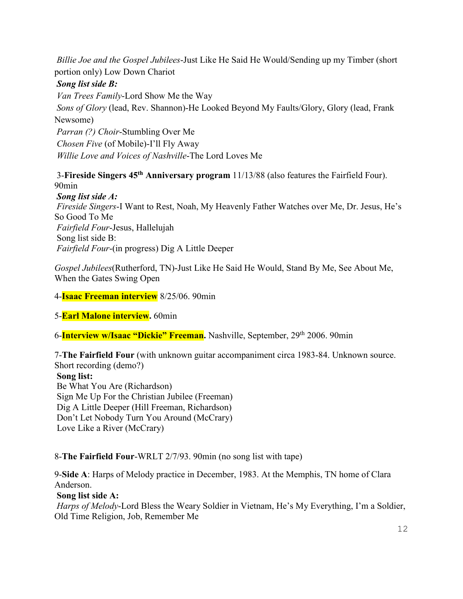*Billie Joe and the Gospel Jubilees*-Just Like He Said He Would/Sending up my Timber (short portion only) Low Down Chariot

## *Song list side B:*

*Van Trees Family*-Lord Show Me the Way *Sons of Glory* (lead, Rev. Shannon)-He Looked Beyond My Faults/Glory, Glory (lead, Frank Newsome) *Parran (?) Choir*-Stumbling Over Me *Chosen Five* (of Mobile)-I'll Fly Away *Willie Love and Voices of Nashville*-The Lord Loves Me

3-**Fireside Singers 45th Anniversary program** 11/13/88 (also features the Fairfield Four). 90min

*Song list side A: Fireside Singers*-I Want to Rest, Noah, My Heavenly Father Watches over Me, Dr. Jesus, He's So Good To Me *Fairfield Four*-Jesus, Hallelujah Song list side B: *Fairfield Four*-(in progress) Dig A Little Deeper

*Gospel Jubilees*(Rutherford, TN)-Just Like He Said He Would, Stand By Me, See About Me, When the Gates Swing Open

4-**Isaac Freeman interview** 8/25/06. 90min

5-**Earl Malone interview.** 60min

6-**Interview w/Isaac "Dickie" Freeman**. Nashville, September, 29<sup>th</sup> 2006. 90min

7-**The Fairfield Four** (with unknown guitar accompaniment circa 1983-84. Unknown source. Short recording (demo?)

**Song list:**

Be What You Are (Richardson) Sign Me Up For the Christian Jubilee (Freeman) Dig A Little Deeper (Hill Freeman, Richardson) Don't Let Nobody Turn You Around (McCrary) Love Like a River (McCrary)

8-**The Fairfield Four**-WRLT 2/7/93. 90min (no song list with tape)

9-**Side A**: Harps of Melody practice in December, 1983. At the Memphis, TN home of Clara Anderson.

### **Song list side A:**

*Harps of Melody*-Lord Bless the Weary Soldier in Vietnam, He's My Everything, I'm a Soldier, Old Time Religion, Job, Remember Me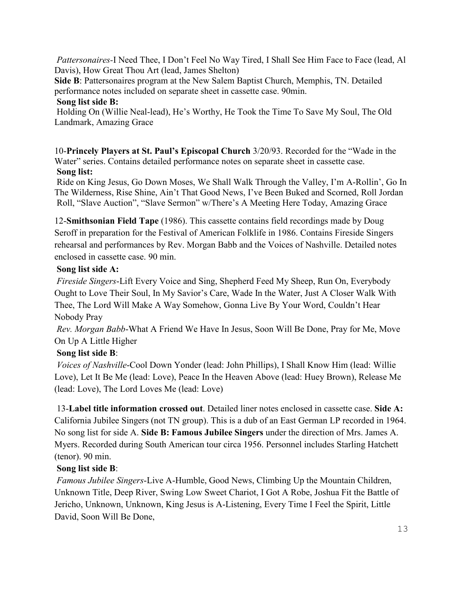*Pattersonaires-*I Need Thee, I Don't Feel No Way Tired, I Shall See Him Face to Face (lead, Al Davis), How Great Thou Art (lead, James Shelton)

**Side B**: Pattersonaires program at the New Salem Baptist Church, Memphis, TN. Detailed performance notes included on separate sheet in cassette case. 90min.

### **Song list side B:**

Holding On (Willie Neal-lead), He's Worthy, He Took the Time To Save My Soul, The Old Landmark, Amazing Grace

10-**Princely Players at St. Paul's Episcopal Church** 3/20/93. Recorded for the "Wade in the Water" series. Contains detailed performance notes on separate sheet in cassette case. **Song list:**

Ride on King Jesus, Go Down Moses, We Shall Walk Through the Valley, I'm A-Rollin', Go In The Wilderness, Rise Shine, Ain't That Good News, I've Been Buked and Scorned, Roll Jordan Roll, "Slave Auction", "Slave Sermon" w/There's A Meeting Here Today, Amazing Grace

12-**Smithsonian Field Tape** (1986). This cassette contains field recordings made by Doug Seroff in preparation for the Festival of American Folklife in 1986. Contains Fireside Singers rehearsal and performances by Rev. Morgan Babb and the Voices of Nashville. Detailed notes enclosed in cassette case. 90 min.

## **Song list side A:**

*Fireside Singers*-Lift Every Voice and Sing, Shepherd Feed My Sheep, Run On, Everybody Ought to Love Their Soul, In My Savior's Care, Wade In the Water, Just A Closer Walk With Thee, The Lord Will Make A Way Somehow, Gonna Live By Your Word, Couldn't Hear Nobody Pray

*Rev. Morgan Babb*-What A Friend We Have In Jesus, Soon Will Be Done, Pray for Me, Move On Up A Little Higher

# **Song list side B**:

*Voices of Nashville*-Cool Down Yonder (lead: John Phillips), I Shall Know Him (lead: Willie Love), Let It Be Me (lead: Love), Peace In the Heaven Above (lead: Huey Brown), Release Me (lead: Love), The Lord Loves Me (lead: Love)

13-**Label title information crossed out**. Detailed liner notes enclosed in cassette case. **Side A:** California Jubilee Singers (not TN group). This is a dub of an East German LP recorded in 1964. No song list for side A. **Side B: Famous Jubilee Singers** under the direction of Mrs. James A. Myers. Recorded during South American tour circa 1956. Personnel includes Starling Hatchett (tenor). 90 min.

# **Song list side B**:

*Famous Jubilee Singers*-Live A-Humble, Good News, Climbing Up the Mountain Children, Unknown Title, Deep River, Swing Low Sweet Chariot, I Got A Robe, Joshua Fit the Battle of Jericho, Unknown, Unknown, King Jesus is A-Listening, Every Time I Feel the Spirit, Little David, Soon Will Be Done,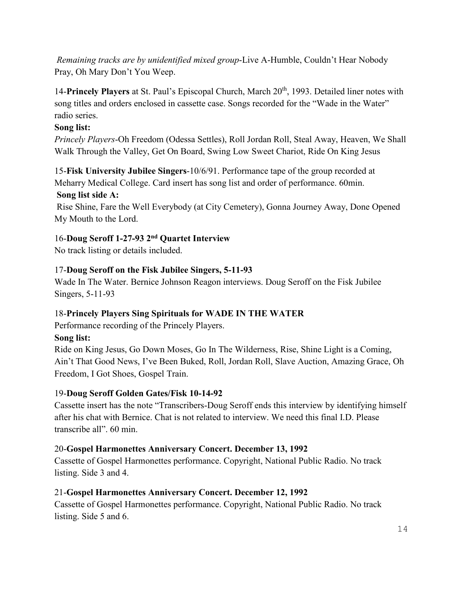*Remaining tracks are by unidentified mixed group*-Live A-Humble, Couldn't Hear Nobody Pray, Oh Mary Don't You Weep.

14-**Princely Players** at St. Paul's Episcopal Church, March 20<sup>th</sup>, 1993. Detailed liner notes with song titles and orders enclosed in cassette case. Songs recorded for the "Wade in the Water" radio series.

# **Song list:**

*Princely Players*-Oh Freedom (Odessa Settles), Roll Jordan Roll, Steal Away, Heaven, We Shall Walk Through the Valley, Get On Board, Swing Low Sweet Chariot, Ride On King Jesus

15-**Fisk University Jubilee Singers**-10/6/91. Performance tape of the group recorded at Meharry Medical College. Card insert has song list and order of performance. 60min.

# **Song list side A:**

Rise Shine, Fare the Well Everybody (at City Cemetery), Gonna Journey Away, Done Opened My Mouth to the Lord.

# 16-**Doug Seroff 1-27-93 2nd Quartet Interview**

No track listing or details included.

# 17-**Doug Seroff on the Fisk Jubilee Singers, 5-11-93**

Wade In The Water. Bernice Johnson Reagon interviews. Doug Seroff on the Fisk Jubilee Singers, 5-11-93

# 18-**Princely Players Sing Spirituals for WADE IN THE WATER**

Performance recording of the Princely Players.

### **Song list:**

Ride on King Jesus, Go Down Moses, Go In The Wilderness, Rise, Shine Light is a Coming, Ain't That Good News, I've Been Buked, Roll, Jordan Roll, Slave Auction, Amazing Grace, Oh Freedom, I Got Shoes, Gospel Train.

### 19-**Doug Seroff Golden Gates/Fisk 10-14-92**

Cassette insert has the note "Transcribers-Doug Seroff ends this interview by identifying himself after his chat with Bernice. Chat is not related to interview. We need this final I.D. Please transcribe all". 60 min.

### 20-**Gospel Harmonettes Anniversary Concert. December 13, 1992**

Cassette of Gospel Harmonettes performance. Copyright, National Public Radio. No track listing. Side 3 and 4.

### 21-**Gospel Harmonettes Anniversary Concert. December 12, 1992**

Cassette of Gospel Harmonettes performance. Copyright, National Public Radio. No track listing. Side 5 and 6.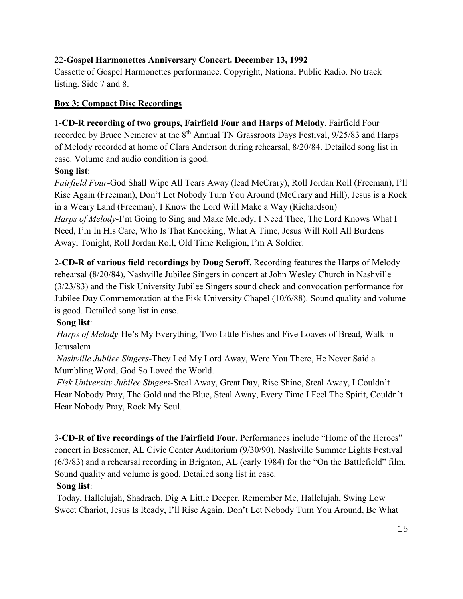# 22-**Gospel Harmonettes Anniversary Concert. December 13, 1992**

Cassette of Gospel Harmonettes performance. Copyright, National Public Radio. No track listing. Side 7 and 8.

### **Box 3: Compact Disc Recordings**

## 1-**CD-R recording of two groups, Fairfield Four and Harps of Melody**. Fairfield Four

recorded by Bruce Nemerov at the 8<sup>th</sup> Annual TN Grassroots Days Festival, 9/25/83 and Harps of Melody recorded at home of Clara Anderson during rehearsal, 8/20/84. Detailed song list in case. Volume and audio condition is good.

## **Song list**:

*Fairfield Four*-God Shall Wipe All Tears Away (lead McCrary), Roll Jordan Roll (Freeman), I'll Rise Again (Freeman), Don't Let Nobody Turn You Around (McCrary and Hill), Jesus is a Rock in a Weary Land (Freeman), I Know the Lord Will Make a Way (Richardson) *Harps of Melody*-I'm Going to Sing and Make Melody, I Need Thee, The Lord Knows What I Need, I'm In His Care, Who Is That Knocking, What A Time, Jesus Will Roll All Burdens Away, Tonight, Roll Jordan Roll, Old Time Religion, I'm A Soldier.

2-**CD-R of various field recordings by Doug Seroff**. Recording features the Harps of Melody rehearsal (8/20/84), Nashville Jubilee Singers in concert at John Wesley Church in Nashville (3/23/83) and the Fisk University Jubilee Singers sound check and convocation performance for Jubilee Day Commemoration at the Fisk University Chapel (10/6/88). Sound quality and volume is good. Detailed song list in case.

# **Song list**:

*Harps of Melody*-He's My Everything, Two Little Fishes and Five Loaves of Bread, Walk in Jerusalem

*Nashville Jubilee Singers*-They Led My Lord Away, Were You There, He Never Said a Mumbling Word, God So Loved the World.

*Fisk University Jubilee Singers*-Steal Away, Great Day, Rise Shine, Steal Away, I Couldn't Hear Nobody Pray, The Gold and the Blue, Steal Away, Every Time I Feel The Spirit, Couldn't Hear Nobody Pray, Rock My Soul.

3-**CD-R of live recordings of the Fairfield Four.** Performances include "Home of the Heroes" concert in Bessemer, AL Civic Center Auditorium (9/30/90), Nashville Summer Lights Festival (6/3/83) and a rehearsal recording in Brighton, AL (early 1984) for the "On the Battlefield" film. Sound quality and volume is good. Detailed song list in case.

### **Song list**:

Today, Hallelujah, Shadrach, Dig A Little Deeper, Remember Me, Hallelujah, Swing Low Sweet Chariot, Jesus Is Ready, I'll Rise Again, Don't Let Nobody Turn You Around, Be What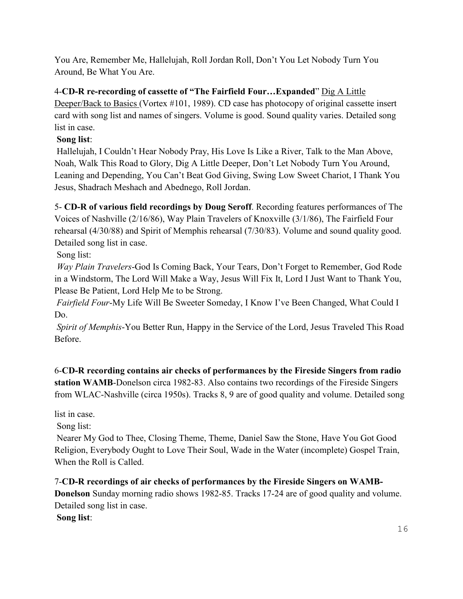You Are, Remember Me, Hallelujah, Roll Jordan Roll, Don't You Let Nobody Turn You Around, Be What You Are.

4-**CD-R re-recording of cassette of "The Fairfield Four…Expanded**" Dig A Little Deeper/Back to Basics (Vortex #101, 1989). CD case has photocopy of original cassette insert card with song list and names of singers. Volume is good. Sound quality varies. Detailed song list in case.

# **Song list**:

Hallelujah, I Couldn't Hear Nobody Pray, His Love Is Like a River, Talk to the Man Above, Noah, Walk This Road to Glory, Dig A Little Deeper, Don't Let Nobody Turn You Around, Leaning and Depending, You Can't Beat God Giving, Swing Low Sweet Chariot, I Thank You Jesus, Shadrach Meshach and Abednego, Roll Jordan.

5- **CD-R of various field recordings by Doug Seroff**. Recording features performances of The Voices of Nashville (2/16/86), Way Plain Travelers of Knoxville (3/1/86), The Fairfield Four rehearsal (4/30/88) and Spirit of Memphis rehearsal (7/30/83). Volume and sound quality good. Detailed song list in case.

Song list:

*Way Plain Travelers*-God Is Coming Back, Your Tears, Don't Forget to Remember, God Rode in a Windstorm, The Lord Will Make a Way, Jesus Will Fix It, Lord I Just Want to Thank You, Please Be Patient, Lord Help Me to be Strong.

*Fairfield Four*-My Life Will Be Sweeter Someday, I Know I've Been Changed, What Could I Do.

*Spirit of Memphis*-You Better Run, Happy in the Service of the Lord, Jesus Traveled This Road Before.

6-**CD-R recording contains air checks of performances by the Fireside Singers from radio station WAMB**-Donelson circa 1982-83. Also contains two recordings of the Fireside Singers from WLAC-Nashville (circa 1950s). Tracks 8, 9 are of good quality and volume. Detailed song

list in case.

Song list:

Nearer My God to Thee, Closing Theme, Theme, Daniel Saw the Stone, Have You Got Good Religion, Everybody Ought to Love Their Soul, Wade in the Water (incomplete) Gospel Train, When the Roll is Called.

# 7-**CD-R recordings of air checks of performances by the Fireside Singers on WAMB-**

**Donelson** Sunday morning radio shows 1982-85. Tracks 17-24 are of good quality and volume. Detailed song list in case.

**Song list**: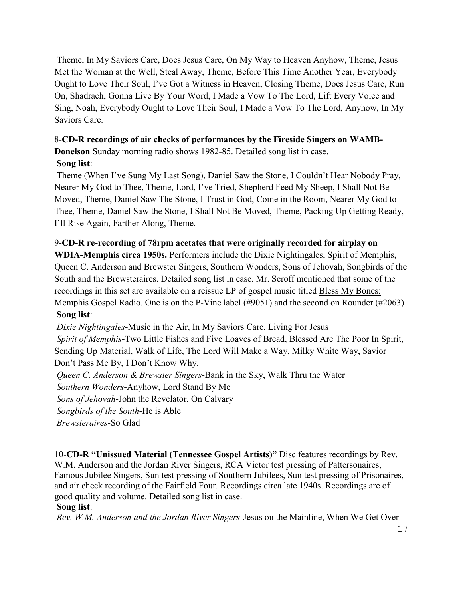Theme, In My Saviors Care, Does Jesus Care, On My Way to Heaven Anyhow, Theme, Jesus Met the Woman at the Well, Steal Away, Theme, Before This Time Another Year, Everybody Ought to Love Their Soul, I've Got a Witness in Heaven, Closing Theme, Does Jesus Care, Run On, Shadrach, Gonna Live By Your Word, I Made a Vow To The Lord, Lift Every Voice and Sing, Noah, Everybody Ought to Love Their Soul, I Made a Vow To The Lord, Anyhow, In My Saviors Care.

# 8-**CD-R recordings of air checks of performances by the Fireside Singers on WAMB-**

**Donelson** Sunday morning radio shows 1982-85. Detailed song list in case.

# **Song list**:

Theme (When I've Sung My Last Song), Daniel Saw the Stone, I Couldn't Hear Nobody Pray, Nearer My God to Thee, Theme, Lord, I've Tried, Shepherd Feed My Sheep, I Shall Not Be Moved, Theme, Daniel Saw The Stone, I Trust in God, Come in the Room, Nearer My God to Thee, Theme, Daniel Saw the Stone, I Shall Not Be Moved, Theme, Packing Up Getting Ready, I'll Rise Again, Farther Along, Theme.

# 9-**CD-R re-recording of 78rpm acetates that were originally recorded for airplay on**

**WDIA-Memphis circa 1950s.** Performers include the Dixie Nightingales, Spirit of Memphis, Queen C. Anderson and Brewster Singers, Southern Wonders, Sons of Jehovah, Songbirds of the South and the Brewsteraires. Detailed song list in case. Mr. Seroff mentioned that some of the recordings in this set are available on a reissue LP of gospel music titled Bless My Bones: Memphis Gospel Radio. One is on the P-Vine label (#9051) and the second on Rounder (#2063) **Song list**:

*Dixie Nightingales*-Music in the Air, In My Saviors Care, Living For Jesus *Spirit of Memphis*-Two Little Fishes and Five Loaves of Bread, Blessed Are The Poor In Spirit, Sending Up Material, Walk of Life, The Lord Will Make a Way, Milky White Way, Savior Don't Pass Me By, I Don't Know Why.

*Queen C. Anderson & Brewster Singers*-Bank in the Sky, Walk Thru the Water

*Southern Wonders*-Anyhow, Lord Stand By Me

*Sons of Jehovah*-John the Revelator, On Calvary

*Songbirds of the South*-He is Able

*Brewsteraires*-So Glad

10-**CD-R "Unissued Material (Tennessee Gospel Artists)"** Disc features recordings by Rev. W.M. Anderson and the Jordan River Singers, RCA Victor test pressing of Pattersonaires, Famous Jubilee Singers, Sun test pressing of Southern Jubilees, Sun test pressing of Prisonaires, and air check recording of the Fairfield Four. Recordings circa late 1940s. Recordings are of good quality and volume. Detailed song list in case.

# **Song list**:

*Rev. W.M. Anderson and the Jordan River Singers*-Jesus on the Mainline, When We Get Over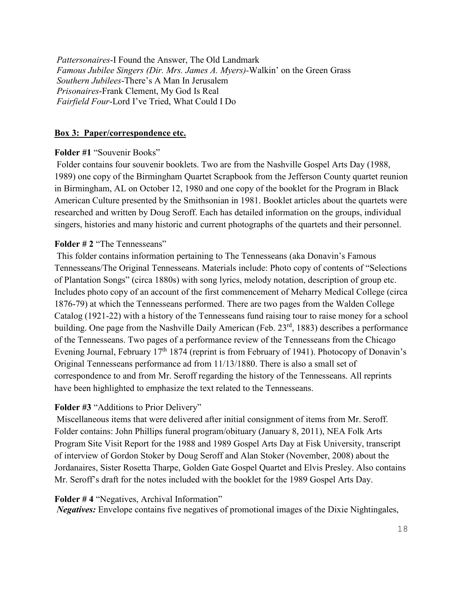*Pattersonaires*-I Found the Answer, The Old Landmark *Famous Jubilee Singers (Dir. Mrs. James A. Myers)-*Walkin' on the Green Grass *Southern Jubilees*-There's A Man In Jerusalem *Prisonaires*-Frank Clement, My God Is Real *Fairfield Four*-Lord I've Tried, What Could I Do

#### **Box 3: Paper/correspondence etc.**

#### **Folder #1** "Souvenir Books"

Folder contains four souvenir booklets. Two are from the Nashville Gospel Arts Day (1988, 1989) one copy of the Birmingham Quartet Scrapbook from the Jefferson County quartet reunion in Birmingham, AL on October 12, 1980 and one copy of the booklet for the Program in Black American Culture presented by the Smithsonian in 1981. Booklet articles about the quartets were researched and written by Doug Seroff. Each has detailed information on the groups, individual singers, histories and many historic and current photographs of the quartets and their personnel.

#### **Folder # 2** "The Tennesseans"

This folder contains information pertaining to The Tennesseans (aka Donavin's Famous Tennesseans/The Original Tennesseans. Materials include: Photo copy of contents of "Selections of Plantation Songs" (circa 1880s) with song lyrics, melody notation, description of group etc. Includes photo copy of an account of the first commencement of Meharry Medical College (circa 1876-79) at which the Tennesseans performed. There are two pages from the Walden College Catalog (1921-22) with a history of the Tennesseans fund raising tour to raise money for a school building. One page from the Nashville Daily American (Feb. 23<sup>rd</sup>, 1883) describes a performance of the Tennesseans. Two pages of a performance review of the Tennesseans from the Chicago Evening Journal, February  $17<sup>th</sup> 1874$  (reprint is from February of 1941). Photocopy of Donavin's Original Tennesseans performance ad from 11/13/1880. There is also a small set of correspondence to and from Mr. Seroff regarding the history of the Tennesseans. All reprints have been highlighted to emphasize the text related to the Tennesseans.

#### **Folder #3** "Additions to Prior Delivery"

Miscellaneous items that were delivered after initial consignment of items from Mr. Seroff. Folder contains: John Phillips funeral program/obituary (January 8, 2011), NEA Folk Arts Program Site Visit Report for the 1988 and 1989 Gospel Arts Day at Fisk University, transcript of interview of Gordon Stoker by Doug Seroff and Alan Stoker (November, 2008) about the Jordanaires, Sister Rosetta Tharpe, Golden Gate Gospel Quartet and Elvis Presley. Also contains Mr. Seroff's draft for the notes included with the booklet for the 1989 Gospel Arts Day.

#### **Folder # 4** "Negatives, Archival Information"

*Negatives:* Envelope contains five negatives of promotional images of the Dixie Nightingales,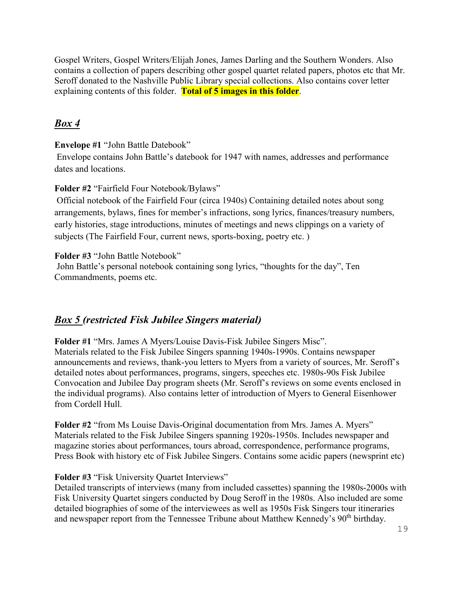Gospel Writers, Gospel Writers/Elijah Jones, James Darling and the Southern Wonders. Also contains a collection of papers describing other gospel quartet related papers, photos etc that Mr. Seroff donated to the Nashville Public Library special collections. Also contains cover letter explaining contents of this folder. **Total of 5 images in this folder**.

# *Box 4*

### **Envelope #1** "John Battle Datebook"

Envelope contains John Battle's datebook for 1947 with names, addresses and performance dates and locations.

## **Folder #2** "Fairfield Four Notebook/Bylaws"

Official notebook of the Fairfield Four (circa 1940s) Containing detailed notes about song arrangements, bylaws, fines for member's infractions, song lyrics, finances/treasury numbers, early histories, stage introductions, minutes of meetings and news clippings on a variety of subjects (The Fairfield Four, current news, sports-boxing, poetry etc. )

## **Folder #3** "John Battle Notebook"

John Battle's personal notebook containing song lyrics, "thoughts for the day", Ten Commandments, poems etc.

# *Box 5 (restricted Fisk Jubilee Singers material)*

**Folder #1** "Mrs. James A Myers/Louise Davis-Fisk Jubilee Singers Misc". Materials related to the Fisk Jubilee Singers spanning 1940s-1990s. Contains newspaper announcements and reviews, thank-you letters to Myers from a variety of sources, Mr. Seroff's detailed notes about performances, programs, singers, speeches etc. 1980s-90s Fisk Jubilee Convocation and Jubilee Day program sheets (Mr. Seroff's reviews on some events enclosed in the individual programs). Also contains letter of introduction of Myers to General Eisenhower from Cordell Hull.

**Folder #2** "from Ms Louise Davis-Original documentation from Mrs. James A. Myers" Materials related to the Fisk Jubilee Singers spanning 1920s-1950s. Includes newspaper and magazine stories about performances, tours abroad, correspondence, performance programs, Press Book with history etc of Fisk Jubilee Singers. Contains some acidic papers (newsprint etc)

# **Folder #3 "Fisk University Quartet Interviews"**

Detailed transcripts of interviews (many from included cassettes) spanning the 1980s-2000s with Fisk University Quartet singers conducted by Doug Seroff in the 1980s. Also included are some detailed biographies of some of the interviewees as well as 1950s Fisk Singers tour itineraries and newspaper report from the Tennessee Tribune about Matthew Kennedy's 90<sup>th</sup> birthday.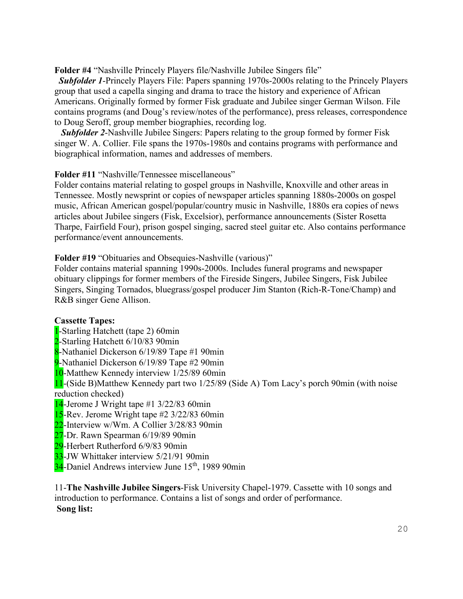**Folder #4** "Nashville Princely Players file/Nashville Jubilee Singers file"

 *Subfolder 1*-Princely Players File: Papers spanning 1970s-2000s relating to the Princely Players group that used a capella singing and drama to trace the history and experience of African Americans. Originally formed by former Fisk graduate and Jubilee singer German Wilson. File contains programs (and Doug's review/notes of the performance), press releases, correspondence to Doug Seroff, group member biographies, recording log.

 *Subfolder 2*-Nashville Jubilee Singers: Papers relating to the group formed by former Fisk singer W. A. Collier. File spans the 1970s-1980s and contains programs with performance and biographical information, names and addresses of members.

**Folder #11** "Nashville/Tennessee miscellaneous"

Folder contains material relating to gospel groups in Nashville, Knoxville and other areas in Tennessee. Mostly newsprint or copies of newspaper articles spanning 1880s-2000s on gospel music, African American gospel/popular/country music in Nashville, 1880s era copies of news articles about Jubilee singers (Fisk, Excelsior), performance announcements (Sister Rosetta Tharpe, Fairfield Four), prison gospel singing, sacred steel guitar etc. Also contains performance performance/event announcements.

#### **Folder #19** "Obituaries and Obsequies-Nashville (various)"

Folder contains material spanning 1990s-2000s. Includes funeral programs and newspaper obituary clippings for former members of the Fireside Singers, Jubilee Singers, Fisk Jubilee Singers, Singing Tornados, bluegrass/gospel producer Jim Stanton (Rich-R-Tone/Champ) and R&B singer Gene Allison.

#### **Cassette Tapes:**

- 1-Starling Hatchett (tape 2) 60min
- 2-Starling Hatchett 6/10/83 90min
- 8-Nathaniel Dickerson 6/19/89 Tape #1 90min
- 9-Nathaniel Dickerson 6/19/89 Tape #2 90min
- 10-Matthew Kennedy interview 1/25/89 60min

11-(Side B)Matthew Kennedy part two 1/25/89 (Side A) Tom Lacy's porch 90min (with noise reduction checked)

- 14-Jerome J Wright tape #1 3/22/83 60min
- 15-Rev. Jerome Wright tape #2 3/22/83 60min
- 22-Interview w/Wm. A Collier 3/28/83 90min
- 27-Dr. Rawn Spearman 6/19/89 90min
- 29-Herbert Rutherford 6/9/83 90min
- 33-JW Whittaker interview 5/21/91 90min
- 34-Daniel Andrews interview June 15<sup>th</sup>, 1989 90min

11-**The Nashville Jubilee Singers**-Fisk University Chapel-1979. Cassette with 10 songs and introduction to performance. Contains a list of songs and order of performance. **Song list:**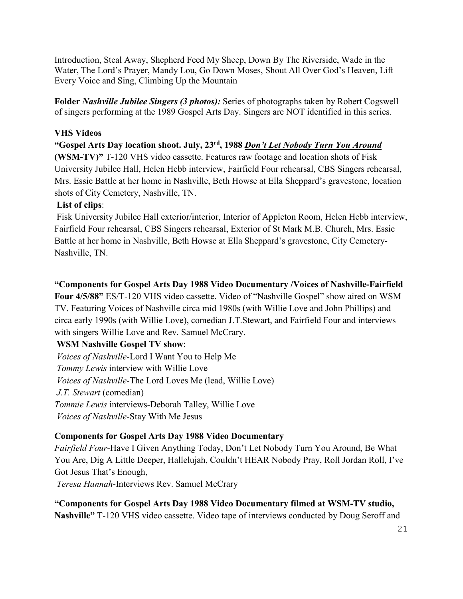Introduction, Steal Away, Shepherd Feed My Sheep, Down By The Riverside, Wade in the Water, The Lord's Prayer, Mandy Lou, Go Down Moses, Shout All Over God's Heaven, Lift Every Voice and Sing, Climbing Up the Mountain

**Folder** *Nashville Jubilee Singers (3 photos):* Series of photographs taken by Robert Cogswell of singers performing at the 1989 Gospel Arts Day. Singers are NOT identified in this series.

## **VHS Videos**

**"Gospel Arts Day location shoot. July, 23rd, 1988** *Don't Let Nobody Turn You Around* **(WSM-TV)"** T-120 VHS video cassette. Features raw footage and location shots of Fisk University Jubilee Hall, Helen Hebb interview, Fairfield Four rehearsal, CBS Singers rehearsal, Mrs. Essie Battle at her home in Nashville, Beth Howse at Ella Sheppard's gravestone, location shots of City Cemetery, Nashville, TN.

# **List of clips**:

Fisk University Jubilee Hall exterior/interior, Interior of Appleton Room, Helen Hebb interview, Fairfield Four rehearsal, CBS Singers rehearsal, Exterior of St Mark M.B. Church, Mrs. Essie Battle at her home in Nashville, Beth Howse at Ella Sheppard's gravestone, City Cemetery-Nashville, TN.

# **"Components for Gospel Arts Day 1988 Video Documentary /Voices of Nashville-Fairfield**

**Four 4/5/88"** ES/T-120 VHS video cassette. Video of "Nashville Gospel" show aired on WSM TV. Featuring Voices of Nashville circa mid 1980s (with Willie Love and John Phillips) and circa early 1990s (with Willie Love), comedian J.T.Stewart, and Fairfield Four and interviews with singers Willie Love and Rev. Samuel McCrary.

# **WSM Nashville Gospel TV show**:

*Voices of Nashville*-Lord I Want You to Help Me *Tommy Lewis* interview with Willie Love *Voices of Nashville*-The Lord Loves Me (lead, Willie Love) *J.T. Stewart* (comedian) *Tommie Lewis* interviews-Deborah Talley, Willie Love *Voices of Nashville*-Stay With Me Jesus

# **Components for Gospel Arts Day 1988 Video Documentary**

*Fairfield Four*-Have I Given Anything Today, Don't Let Nobody Turn You Around, Be What You Are, Dig A Little Deeper, Hallelujah, Couldn't HEAR Nobody Pray, Roll Jordan Roll, I've Got Jesus That's Enough,

*Teresa Hannah*-Interviews Rev. Samuel McCrary

**"Components for Gospel Arts Day 1988 Video Documentary filmed at WSM-TV studio, Nashville"** T-120 VHS video cassette. Video tape of interviews conducted by Doug Seroff and